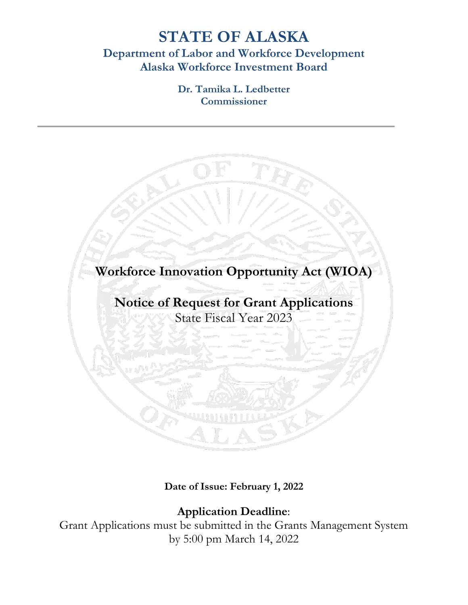# **STATE OF ALASKA Department of Labor and Workforce Development Alaska Workforce Investment Board**

**Dr. Tamika L. Ledbetter Commissioner**



**Date of Issue: February 1, 2022**

## **Application Deadline**:

Grant Applications must be submitted in the Grants Management System by 5:00 pm March 14, 2022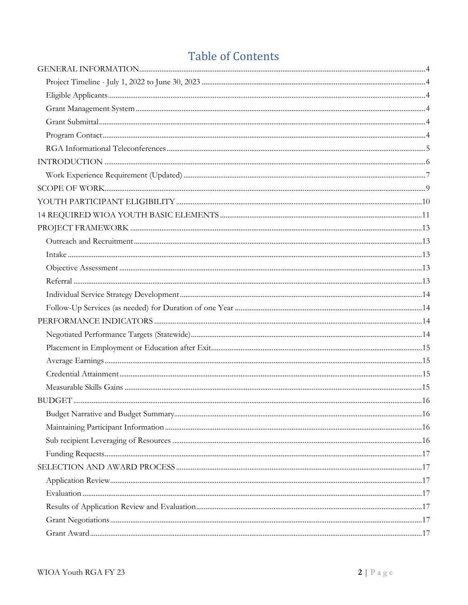# **Table of Contents**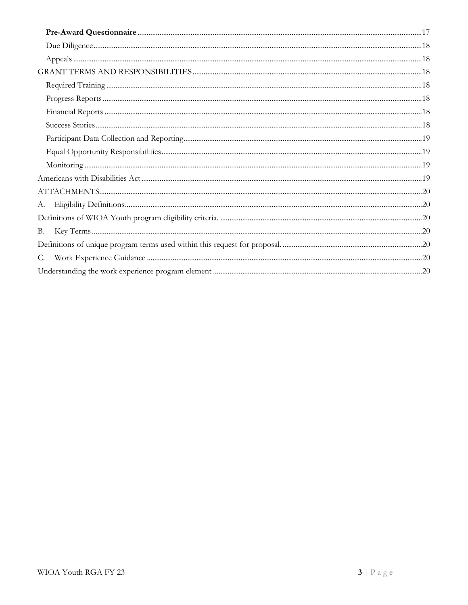| А. |  |
|----|--|
|    |  |
| В. |  |
|    |  |
| C. |  |
|    |  |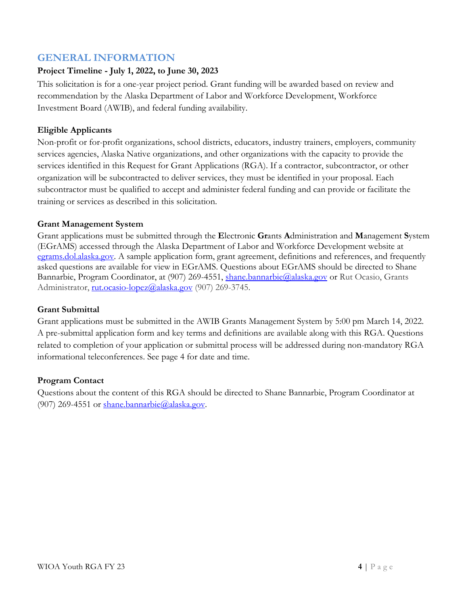## <span id="page-3-0"></span>**GENERAL INFORMATION**

#### <span id="page-3-1"></span>**Project Timeline - July 1, 2022, to June 30, 2023**

This solicitation is for a one-year project period. Grant funding will be awarded based on review and recommendation by the Alaska Department of Labor and Workforce Development, Workforce Investment Board (AWIB), and federal funding availability.

#### <span id="page-3-2"></span>**Eligible Applicants**

Non-profit or for-profit organizations, school districts, educators, industry trainers, employers, community services agencies, Alaska Native organizations, and other organizations with the capacity to provide the services identified in this Request for Grant Applications (RGA). If a contractor, subcontractor, or other organization will be subcontracted to deliver services, they must be identified in your proposal. Each subcontractor must be qualified to accept and administer federal funding and can provide or facilitate the training or services as described in this solicitation.

#### <span id="page-3-3"></span>**Grant Management System**

Grant applications must be submitted through the **E**lectronic **Gr**ants **A**dministration and **M**anagement **S**ystem (EGrAMS) accessed through the Alaska Department of Labor and Workforce Development website at [egrams.dol.alaska.gov.](http://egrams.dol.alaska.gov/) A sample application form, grant agreement, definitions and references, and frequently asked questions are available for view in EGrAMS. Questions about EGrAMS should be directed to Shane Bannarbie, Program Coordinator, at (907) 269-4551, [shane.bannarbie@alaska.gov](mailto:shane.bannarbie@alaska.gov) or Rut Ocasio, Grants Administrator, [rut.ocasio-lopez@alaska.gov](mailto:rut.ocasio-lopez@alaska.gov) (907) 269-3745.

#### <span id="page-3-4"></span>**Grant Submittal**

Grant applications must be submitted in the AWIB Grants Management System by 5:00 pm March 14, 2022. A pre-submittal application form and key terms and definitions are available along with this RGA. Questions related to completion of your application or submittal process will be addressed during non-mandatory RGA informational teleconferences. See page 4 for date and time.

#### <span id="page-3-5"></span>**Program Contact**

Questions about the content of this RGA should be directed to Shane Bannarbie, Program Coordinator at (907) 269-4551 or [shane.bannarbie@alaska.gov.](mailto:shane.bannarbie@alaska.gov)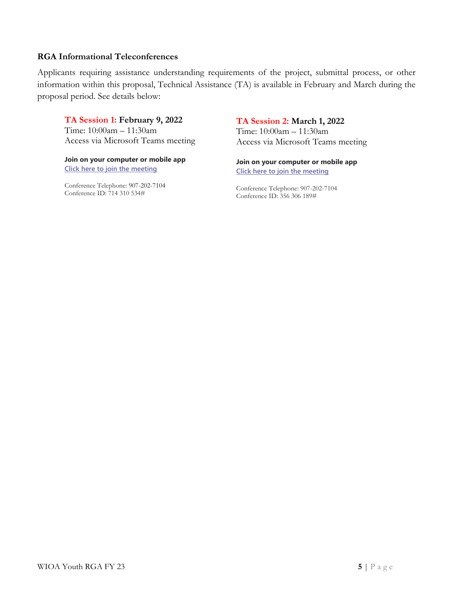#### <span id="page-4-0"></span>**RGA Informational Teleconferences**

Applicants requiring assistance understanding requirements of the project, submittal process, or other information within this proposal, Technical Assistance (TA) is available in February and March during the proposal period. See details below:

#### **TA Session 1: February 9, 2022**

Time: 10:00am – 11:30am Access via Microsoft Teams meeting

**Join on your computer or mobile app [Click here to join the meeting](https://teams.microsoft.com/l/meetup-join/19%3ameeting_ZmVmZTA0NWEtMDViNS00ZDhkLThhMTEtZjQ3NWUyMWUwZWE1%40thread.v2/0?context=%7b%22Tid%22%3a%2220030bf6-7ad9-42f7-9273-59ea83fcfa38%22%2c%22Oid%22%3a%2297c4383a-3716-4914-8224-0a96cd3fcec4%22%7d)**

Conference Telephone: 907-202-7104 Conference ID: 714 310 534#

#### **TA Session 2: March 1, 2022**

Time: 10:00am – 11:30am Access via Microsoft Teams meeting

**Join on your computer or mobile app [Click here to join the meeting](https://teams.microsoft.com/l/meetup-join/19%3ameeting_YjZhMzA0MDMtZGU2OC00M2U2LWIwNmMtMzBlMzUyNzFhZWU2%40thread.v2/0?context=%7b%22Tid%22%3a%2220030bf6-7ad9-42f7-9273-59ea83fcfa38%22%2c%22Oid%22%3a%2297c4383a-3716-4914-8224-0a96cd3fcec4%22%7d)**

Conference Telephone: 907-202-7104 Conference ID: 356 306 189#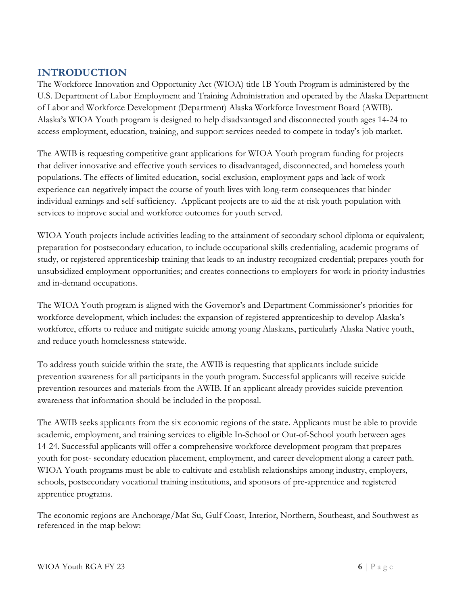## <span id="page-5-0"></span>**INTRODUCTION**

The Workforce Innovation and Opportunity Act (WIOA) title 1B Youth Program is administered by the U.S. Department of Labor Employment and Training Administration and operated by the Alaska Department of Labor and Workforce Development (Department) Alaska Workforce Investment Board (AWIB). Alaska's WIOA Youth program is designed to help disadvantaged and disconnected youth ages 14-24 to access employment, education, training, and support services needed to compete in today's job market.

The AWIB is requesting competitive grant applications for WIOA Youth program funding for projects that deliver innovative and effective youth services to disadvantaged, disconnected, and homeless youth populations. The effects of limited education, social exclusion, employment gaps and lack of work experience can negatively impact the course of youth lives with long-term consequences that hinder individual earnings and self-sufficiency. Applicant projects are to aid the at-risk youth population with services to improve social and workforce outcomes for youth served.

WIOA Youth projects include activities leading to the attainment of secondary school diploma or equivalent; preparation for postsecondary education, to include occupational skills credentialing, academic programs of study, or registered apprenticeship training that leads to an industry recognized credential; prepares youth for unsubsidized employment opportunities; and creates connections to employers for work in priority industries and in-demand occupations.

The WIOA Youth program is aligned with the Governor's and Department Commissioner's priorities for workforce development, which includes: the expansion of registered apprenticeship to develop Alaska's workforce, efforts to reduce and mitigate suicide among young Alaskans, particularly Alaska Native youth, and reduce youth homelessness statewide.

To address youth suicide within the state, the AWIB is requesting that applicants include suicide prevention awareness for all participants in the youth program. Successful applicants will receive suicide prevention resources and materials from the AWIB. If an applicant already provides suicide prevention awareness that information should be included in the proposal.

The AWIB seeks applicants from the six economic regions of the state. Applicants must be able to provide academic, employment, and training services to eligible In-School or Out-of-School youth between ages 14-24. Successful applicants will offer a comprehensive workforce development program that prepares youth for post- secondary education placement, employment, and career development along a career path. WIOA Youth programs must be able to cultivate and establish relationships among industry, employers, schools, postsecondary vocational training institutions, and sponsors of pre-apprentice and registered apprentice programs.

The economic regions are Anchorage/Mat-Su, Gulf Coast, Interior, Northern, Southeast, and Southwest as referenced in the map below: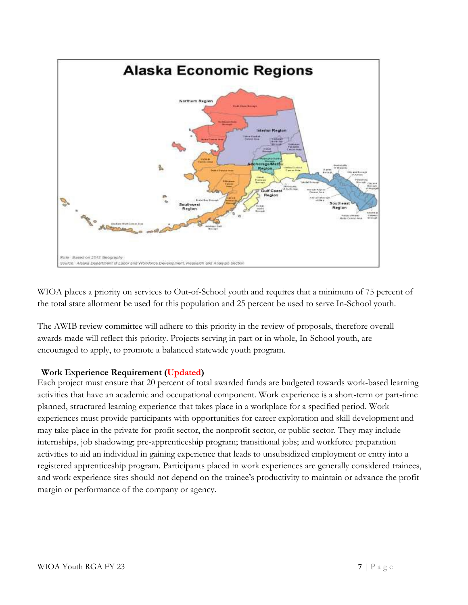

WIOA places a priority on services to Out-of-School youth and requires that a minimum of 75 percent of the total state allotment be used for this population and 25 percent be used to serve In-School youth.

The AWIB review committee will adhere to this priority in the review of proposals, therefore overall awards made will reflect this priority. Projects serving in part or in whole, In-School youth, are encouraged to apply, to promote a balanced statewide youth program.

#### <span id="page-6-0"></span>**Work Experience Requirement (Updated)**

Each project must ensure that 20 percent of total awarded funds are budgeted towards work-based learning activities that have an academic and occupational component. Work experience is a short-term or part-time planned, structured learning experience that takes place in a workplace for a specified period. Work experiences must provide participants with opportunities for career exploration and skill development and may take place in the private for-profit sector, the nonprofit sector, or public sector. They may include internships, job shadowing; pre-apprenticeship program; transitional jobs; and workforce preparation activities to aid an individual in gaining experience that leads to unsubsidized employment or entry into a registered apprenticeship program. Participants placed in work experiences are generally considered trainees, and work experience sites should not depend on the trainee's productivity to maintain or advance the profit margin or performance of the company or agency.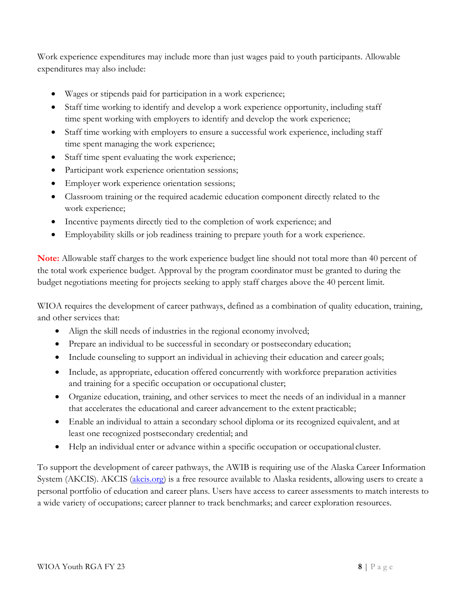Work experience expenditures may include more than just wages paid to youth participants. Allowable expenditures may also include:

- Wages or stipends paid for participation in a work experience;
- Staff time working to identify and develop a work experience opportunity, including staff time spent working with employers to identify and develop the work experience;
- Staff time working with employers to ensure a successful work experience, including staff time spent managing the work experience;
- Staff time spent evaluating the work experience;
- Participant work experience orientation sessions;
- Employer work experience orientation sessions;
- Classroom training or the required academic education component directly related to the work experience;
- Incentive payments directly tied to the completion of work experience; and
- Employability skills or job readiness training to prepare youth for a work experience.

**Note:** Allowable staff charges to the work experience budget line should not total more than 40 percent of the total work experience budget. Approval by the program coordinator must be granted to during the budget negotiations meeting for projects seeking to apply staff charges above the 40 percent limit.

WIOA requires the development of career pathways, defined as a combination of quality education, training, and other services that:

- Align the skill needs of industries in the regional economy involved;
- Prepare an individual to be successful in secondary or postsecondary education;
- Include counseling to support an individual in achieving their education and career goals;
- Include, as appropriate, education offered concurrently with workforce preparation activities and training for a specific occupation or occupational cluster;
- Organize education, training, and other services to meet the needs of an individual in a manner that accelerates the educational and career advancement to the extent practicable;
- Enable an individual to attain a secondary school diploma or its recognized equivalent, and at least one recognized postsecondary credential; and
- Help an individual enter or advance within a specific occupation or occupational cluster.

To support the development of career pathways, the AWIB is requiring use of the Alaska Career Information System (AKCIS). AKCIS [\(akcis.org\)](https://akcis.org/) is a free resource available to Alaska residents, allowing users to create a personal portfolio of education and career plans. Users have access to career assessments to match interests to a wide variety of occupations; career planner to track benchmarks; and career exploration resources.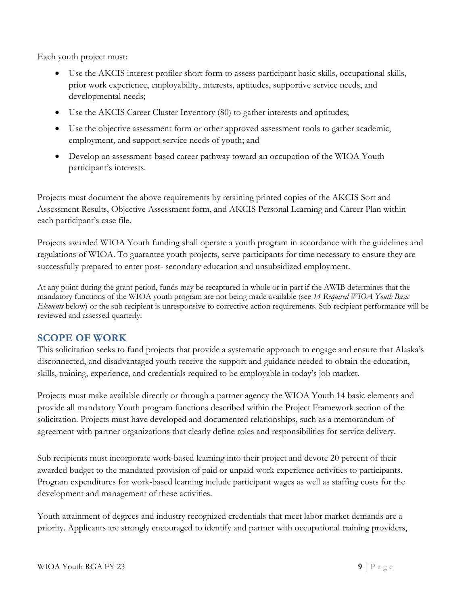Each youth project must:

- Use the AKCIS interest profiler short form to assess participant basic skills, occupational skills, prior work experience, employability, interests, aptitudes, supportive service needs, and developmental needs;
- Use the AKCIS Career Cluster Inventory (80) to gather interests and aptitudes;
- Use the objective assessment form or other approved assessment tools to gather academic, employment, and support service needs of youth; and
- Develop an assessment-based career pathway toward an occupation of the WIOA Youth participant's interests.

Projects must document the above requirements by retaining printed copies of the AKCIS Sort and Assessment Results, Objective Assessment form, and AKCIS Personal Learning and Career Plan within each participant's case file.

Projects awarded WIOA Youth funding shall operate a youth program in accordance with the guidelines and regulations of WIOA. To guarantee youth projects, serve participants for time necessary to ensure they are successfully prepared to enter post- secondary education and unsubsidized employment.

At any point during the grant period, funds may be recaptured in whole or in part if the AWIB determines that the mandatory functions of the WIOA youth program are not being made available (see *14 Required WIOA Youth Basic Elements* below) or the sub recipient is unresponsive to corrective action requirements. Sub recipient performance will be reviewed and assessed quarterly.

## <span id="page-8-0"></span>**SCOPE OF WORK**

This solicitation seeks to fund projects that provide a systematic approach to engage and ensure that Alaska's disconnected, and disadvantaged youth receive the support and guidance needed to obtain the education, skills, training, experience, and credentials required to be employable in today's job market.

Projects must make available directly or through a partner agency the WIOA Youth 14 basic elements and provide all mandatory Youth program functions described within the Project Framework section of the solicitation. Projects must have developed and documented relationships, such as a memorandum of agreement with partner organizations that clearly define roles and responsibilities for service delivery.

Sub recipients must incorporate work-based learning into their project and devote 20 percent of their awarded budget to the mandated provision of paid or unpaid work experience activities to participants. Program expenditures for work-based learning include participant wages as well as staffing costs for the development and management of these activities.

Youth attainment of degrees and industry recognized credentials that meet labor market demands are a priority. Applicants are strongly encouraged to identify and partner with occupational training providers,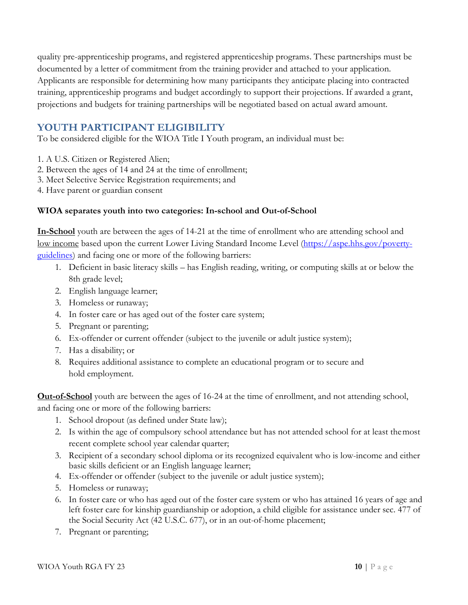quality pre-apprenticeship programs, and registered apprenticeship programs. These partnerships must be documented by a letter of commitment from the training provider and attached to your application. Applicants are responsible for determining how many participants they anticipate placing into contracted training, apprenticeship programs and budget accordingly to support their projections. If awarded a grant, projections and budgets for training partnerships will be negotiated based on actual award amount.

## <span id="page-9-0"></span>**YOUTH PARTICIPANT ELIGIBILITY**

To be considered eligible for the WIOA Title I Youth program, an individual must be:

- 1. A U.S. Citizen or Registered Alien;
- 2. Between the ages of 14 and 24 at the time of enrollment;
- 3. Meet Selective Service Registration requirements; and
- 4. Have parent or guardian consent

#### **WIOA separates youth into two categories: In-school and Out-of-School**

**In-School** youth are between the ages of 14-21 at the time of enrollment who are attending school and low income based upon the current Lower Living Standard Income Level [\(https://aspe.hhs.gov/poverty](https://aspe.hhs.gov/poverty-guidelines)[guidelines\)](https://aspe.hhs.gov/poverty-guidelines) and facing one or more of the following barriers:

- 1. Deficient in basic literacy skills has English reading, writing, or computing skills at or below the 8th grade level;
- 2. English language learner;
- 3. Homeless or runaway;
- 4. In foster care or has aged out of the foster care system;
- 5. Pregnant or parenting;
- 6. Ex-offender or current offender (subject to the juvenile or adult justice system);
- 7. Has a disability; or
- 8. Requires additional assistance to complete an educational program or to secure and hold employment.

**Out-of-School** youth are between the ages of 16-24 at the time of enrollment, and not attending school, and facing one or more of the following barriers:

- 1. School dropout (as defined under State law);
- 2. Is within the age of compulsory school attendance but has not attended school for at least themost recent complete school year calendar quarter;
- 3. Recipient of a secondary school diploma or its recognized equivalent who is low-income and either basic skills deficient or an English language learner;
- 4. Ex-offender or offender (subject to the juvenile or adult justice system);
- 5. Homeless or runaway;
- 6. In foster care or who has aged out of the foster care system or who has attained 16 years of age and left foster care for kinship guardianship or adoption, a child eligible for assistance under sec. 477 of the Social Security Act (42 U.S.C. 677), or in an out-of-home placement;
- 7. Pregnant or parenting;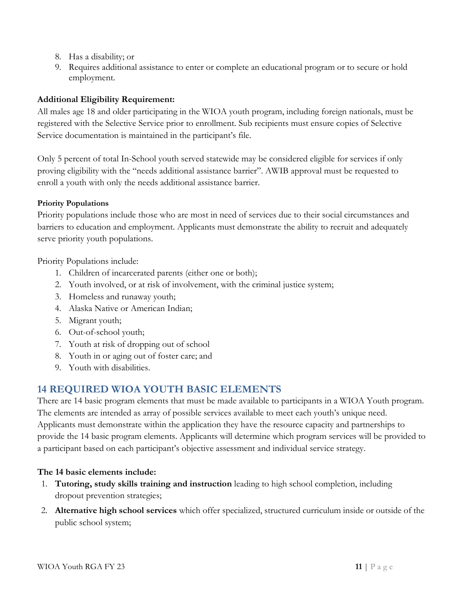- 8. Has a disability; or
- 9. Requires additional assistance to enter or complete an educational program or to secure or hold employment.

#### **Additional Eligibility Requirement:**

All males age 18 and older participating in the WIOA youth program, including foreign nationals, must be registered with the Selective Service prior to enrollment. Sub recipients must ensure copies of Selective Service documentation is maintained in the participant's file.

Only 5 percent of total In-School youth served statewide may be considered eligible for services if only proving eligibility with the "needs additional assistance barrier". AWIB approval must be requested to enroll a youth with only the needs additional assistance barrier.

#### **Priority Populations**

Priority populations include those who are most in need of services due to their social circumstances and barriers to education and employment. Applicants must demonstrate the ability to recruit and adequately serve priority youth populations.

Priority Populations include:

- 1. Children of incarcerated parents (either one or both);
- 2. Youth involved, or at risk of involvement, with the criminal justice system;
- 3. Homeless and runaway youth;
- 4. Alaska Native or American Indian;
- 5. Migrant youth;
- 6. Out-of-school youth;
- 7. Youth at risk of dropping out of school
- 8. Youth in or aging out of foster care; and
- 9. Youth with disabilities.

## <span id="page-10-0"></span>**14 REQUIRED WIOA YOUTH BASIC ELEMENTS**

There are 14 basic program elements that must be made available to participants in a WIOA Youth program. The elements are intended as array of possible services available to meet each youth's unique need. Applicants must demonstrate within the application they have the resource capacity and partnerships to provide the 14 basic program elements. Applicants will determine which program services will be provided to a participant based on each participant's objective assessment and individual service strategy.

#### **The 14 basic elements include:**

- 1. **Tutoring, study skills training and instruction** leading to high school completion, including dropout prevention strategies;
- 2. **Alternative high school services** which offer specialized, structured curriculum inside or outside of the public school system;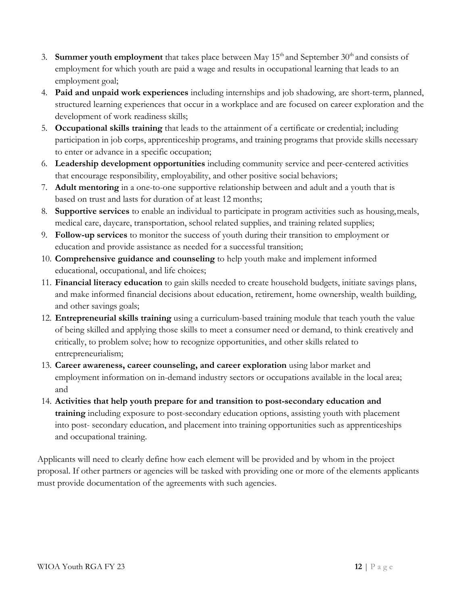- 3. **Summer youth employment** that takes place between May  $15<sup>th</sup>$  and September  $30<sup>th</sup>$  and consists of employment for which youth are paid a wage and results in occupational learning that leads to an employment goal;
- 4. **Paid and unpaid work experiences** including internships and job shadowing, are short-term, planned, structured learning experiences that occur in a workplace and are focused on career exploration and the development of work readiness skills;
- 5. **Occupational skills training** that leads to the attainment of a certificate or credential; including participation in job corps, apprenticeship programs, and training programs that provide skills necessary to enter or advance in a specific occupation;
- 6. **Leadership development opportunities** including community service and peer-centered activities that encourage responsibility, employability, and other positive social behaviors;
- 7. **Adult mentoring** in a one-to-one supportive relationship between and adult and a youth that is based on trust and lasts for duration of at least 12 months;
- 8. **Supportive services** to enable an individual to participate in program activities such as housing,meals, medical care, daycare, transportation, school related supplies, and training related supplies;
- 9. **Follow-up services** to monitor the success of youth during their transition to employment or education and provide assistance as needed for a successful transition;
- 10. **Comprehensive guidance and counseling** to help youth make and implement informed educational, occupational, and life choices;
- 11. **Financial literacy education** to gain skills needed to create household budgets, initiate savings plans, and make informed financial decisions about education, retirement, home ownership, wealth building, and other savings goals;
- 12. **Entrepreneurial skills training** using a curriculum-based training module that teach youth the value of being skilled and applying those skills to meet a consumer need or demand, to think creatively and critically, to problem solve; how to recognize opportunities, and other skills related to entrepreneurialism;
- 13. **Career awareness, career counseling, and career exploration** using labor market and employment information on in-demand industry sectors or occupations available in the local area; and
- 14. **Activities that help youth prepare for and transition to post-secondary education and training** including exposure to post-secondary education options, assisting youth with placement into post- secondary education, and placement into training opportunities such as apprenticeships and occupational training.

Applicants will need to clearly define how each element will be provided and by whom in the project proposal. If other partners or agencies will be tasked with providing one or more of the elements applicants must provide documentation of the agreements with such agencies.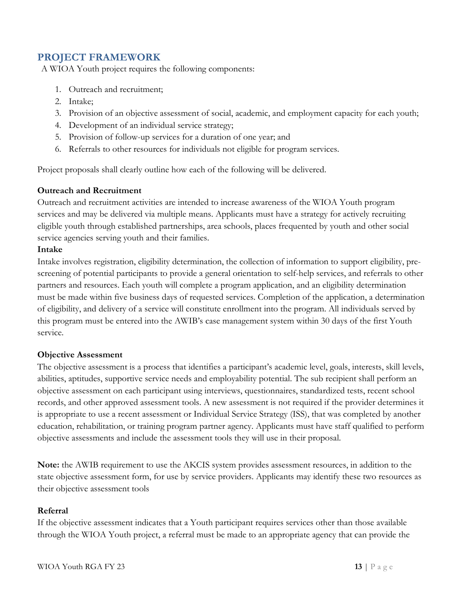## <span id="page-12-0"></span>**PROJECT FRAMEWORK**

A WIOA Youth project requires the following components:

- 1. Outreach and recruitment;
- 2. Intake;
- 3. Provision of an objective assessment of social, academic, and employment capacity for each youth;
- 4. Development of an individual service strategy;
- 5. Provision of follow-up services for a duration of one year; and
- 6. Referrals to other resources for individuals not eligible for program services.

Project proposals shall clearly outline how each of the following will be delivered.

#### <span id="page-12-1"></span>**Outreach and Recruitment**

Outreach and recruitment activities are intended to increase awareness of the WIOA Youth program services and may be delivered via multiple means. Applicants must have a strategy for actively recruiting eligible youth through established partnerships, area schools, places frequented by youth and other social service agencies serving youth and their families.

#### <span id="page-12-2"></span>**Intake**

Intake involves registration, eligibility determination, the collection of information to support eligibility, prescreening of potential participants to provide a general orientation to self-help services, and referrals to other partners and resources. Each youth will complete a program application, and an eligibility determination must be made within five business days of requested services. Completion of the application, a determination of eligibility, and delivery of a service will constitute enrollment into the program. All individuals served by this program must be entered into the AWIB's case management system within 30 days of the first Youth service.

#### <span id="page-12-3"></span>**Objective Assessment**

The objective assessment is a process that identifies a participant's academic level, goals, interests, skill levels, abilities, aptitudes, supportive service needs and employability potential. The sub recipient shall perform an objective assessment on each participant using interviews, questionnaires, standardized tests, recent school records, and other approved assessment tools. A new assessment is not required if the provider determines it is appropriate to use a recent assessment or Individual Service Strategy (ISS), that was completed by another education, rehabilitation, or training program partner agency. Applicants must have staff qualified to perform objective assessments and include the assessment tools they will use in their proposal.

**Note:** the AWIB requirement to use the AKCIS system provides assessment resources, in addition to the state objective assessment form, for use by service providers. Applicants may identify these two resources as their objective assessment tools

#### <span id="page-12-4"></span>**Referral**

If the objective assessment indicates that a Youth participant requires services other than those available through the WIOA Youth project, a referral must be made to an appropriate agency that can provide the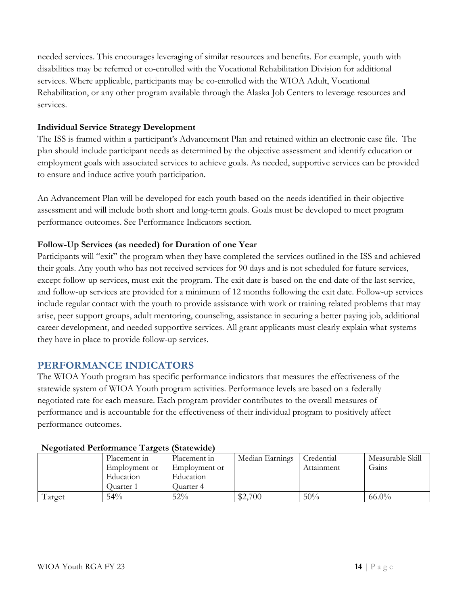needed services. This encourages leveraging of similar resources and benefits. For example, youth with disabilities may be referred or co-enrolled with the Vocational Rehabilitation Division for additional services. Where applicable, participants may be co-enrolled with the WIOA Adult, Vocational Rehabilitation, or any other program available through the Alaska Job Centers to leverage resources and services.

#### <span id="page-13-0"></span>**Individual Service Strategy Development**

The ISS is framed within a participant's Advancement Plan and retained within an electronic case file. The plan should include participant needs as determined by the objective assessment and identify education or employment goals with associated services to achieve goals. As needed, supportive services can be provided to ensure and induce active youth participation.

An Advancement Plan will be developed for each youth based on the needs identified in their objective assessment and will include both short and long-term goals. Goals must be developed to meet program performance outcomes. See Performance Indicators section.

#### <span id="page-13-1"></span>**Follow-Up Services (as needed) for Duration of one Year**

Participants will "exit" the program when they have completed the services outlined in the ISS and achieved their goals. Any youth who has not received services for 90 days and is not scheduled for future services, except follow-up services, must exit the program. The exit date is based on the end date of the last service, and follow-up services are provided for a minimum of 12 months following the exit date. Follow-up services include regular contact with the youth to provide assistance with work or training related problems that may arise, peer support groups, adult mentoring, counseling, assistance in securing a better paying job, additional career development, and needed supportive services. All grant applicants must clearly explain what systems they have in place to provide follow-up services.

## <span id="page-13-2"></span>**PERFORMANCE INDICATORS**

The WIOA Youth program has specific performance indicators that measures the effectiveness of the statewide system of WIOA Youth program activities. Performance levels are based on a federally negotiated rate for each measure. Each program provider contributes to the overall measures of performance and is accountable for the effectiveness of their individual program to positively affect performance outcomes.

|         | Placement in  | Placement in  | Median Earnings | Credential | Measurable Skill |  |  |
|---------|---------------|---------------|-----------------|------------|------------------|--|--|
|         | Employment or | Employment or |                 | Attainment | Gains            |  |  |
|         | Education     | Education     |                 |            |                  |  |  |
|         | Juarter 1     | Quarter 4     |                 |            |                  |  |  |
| l'arget | 54%           | 52%           | \$2,700         | 50%        | $66.0\%$         |  |  |

#### <span id="page-13-3"></span>**Negotiated Performance Targets (Statewide)**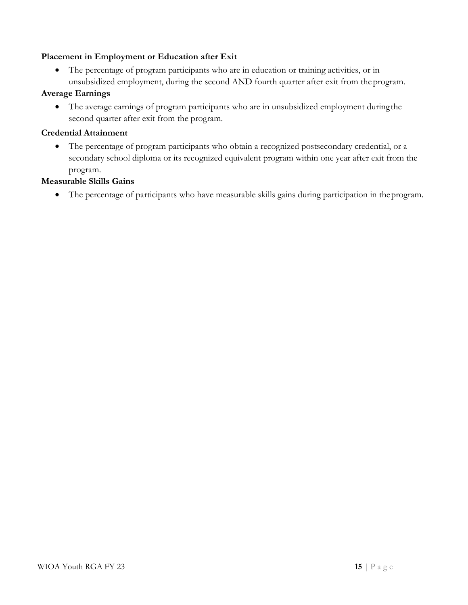#### <span id="page-14-0"></span>**Placement in Employment or Education after Exit**

• The percentage of program participants who are in education or training activities, or in unsubsidized employment, during the second AND fourth quarter after exit from the program.

#### <span id="page-14-1"></span>**Average Earnings**

• The average earnings of program participants who are in unsubsidized employment duringthe second quarter after exit from the program.

#### <span id="page-14-2"></span>**Credential Attainment**

• The percentage of program participants who obtain a recognized postsecondary credential, or a secondary school diploma or its recognized equivalent program within one year after exit from the program.

#### <span id="page-14-3"></span>**Measurable Skills Gains**

• The percentage of participants who have measurable skills gains during participation in theprogram.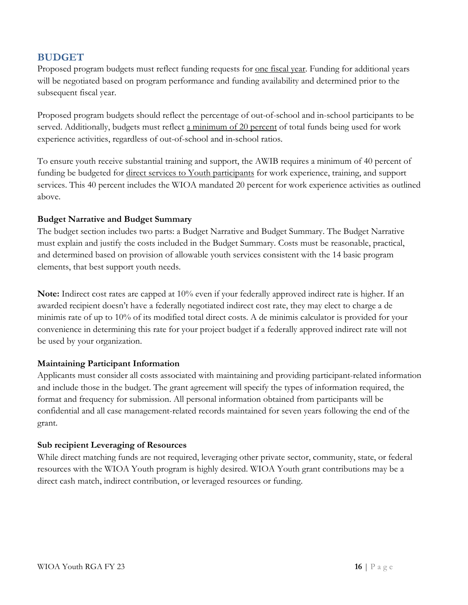### <span id="page-15-0"></span>**BUDGET**

Proposed program budgets must reflect funding requests for <u>one fiscal year</u>. Funding for additional years will be negotiated based on program performance and funding availability and determined prior to the subsequent fiscal year.

Proposed program budgets should reflect the percentage of out-of-school and in-school participants to be served. Additionally, budgets must reflect a minimum of 20 percent of total funds being used for work experience activities, regardless of out-of-school and in-school ratios.

To ensure youth receive substantial training and support, the AWIB requires a minimum of 40 percent of funding be budgeted for direct services to Youth participants for work experience, training, and support services. This 40 percent includes the WIOA mandated 20 percent for work experience activities as outlined above.

#### <span id="page-15-1"></span>**Budget Narrative and Budget Summary**

The budget section includes two parts: a Budget Narrative and Budget Summary. The Budget Narrative must explain and justify the costs included in the Budget Summary. Costs must be reasonable, practical, and determined based on provision of allowable youth services consistent with the 14 basic program elements, that best support youth needs.

**Note:** Indirect cost rates are capped at 10% even if your federally approved indirect rate is higher. If an awarded recipient doesn't have a federally negotiated indirect cost rate, they may elect to charge a de minimis rate of up to 10% of its modified total direct costs. A de minimis calculator is provided for your convenience in determining this rate for your project budget if a federally approved indirect rate will not be used by your organization.

#### <span id="page-15-2"></span>**Maintaining Participant Information**

Applicants must consider all costs associated with maintaining and providing participant-related information and include those in the budget. The grant agreement will specify the types of information required, the format and frequency for submission. All personal information obtained from participants will be confidential and all case management-related records maintained for seven years following the end of the grant.

#### <span id="page-15-3"></span>**Sub recipient Leveraging of Resources**

While direct matching funds are not required, leveraging other private sector, community, state, or federal resources with the WIOA Youth program is highly desired. WIOA Youth grant contributions may be a direct cash match, indirect contribution, or leveraged resources or funding.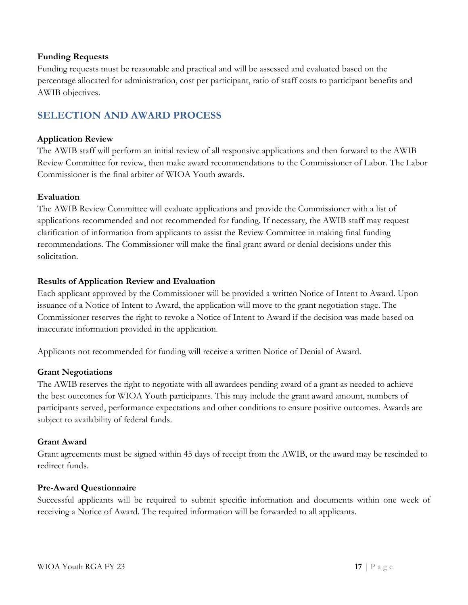#### <span id="page-16-0"></span>**Funding Requests**

Funding requests must be reasonable and practical and will be assessed and evaluated based on the percentage allocated for administration, cost per participant, ratio of staff costs to participant benefits and AWIB objectives.

## <span id="page-16-1"></span>**SELECTION AND AWARD PROCESS**

#### <span id="page-16-2"></span>**Application Review**

The AWIB staff will perform an initial review of all responsive applications and then forward to the AWIB Review Committee for review, then make award recommendations to the Commissioner of Labor. The Labor Commissioner is the final arbiter of WIOA Youth awards.

#### <span id="page-16-3"></span>**Evaluation**

The AWIB Review Committee will evaluate applications and provide the Commissioner with a list of applications recommended and not recommended for funding. If necessary, the AWIB staff may request clarification of information from applicants to assist the Review Committee in making final funding recommendations. The Commissioner will make the final grant award or denial decisions under this solicitation.

#### <span id="page-16-4"></span>**Results of Application Review and Evaluation**

Each applicant approved by the Commissioner will be provided a written Notice of Intent to Award. Upon issuance of a Notice of Intent to Award, the application will move to the grant negotiation stage. The Commissioner reserves the right to revoke a Notice of Intent to Award if the decision was made based on inaccurate information provided in the application.

Applicants not recommended for funding will receive a written Notice of Denial of Award.

#### <span id="page-16-5"></span>**Grant Negotiations**

The AWIB reserves the right to negotiate with all awardees pending award of a grant as needed to achieve the best outcomes for WIOA Youth participants. This may include the grant award amount, numbers of participants served, performance expectations and other conditions to ensure positive outcomes. Awards are subject to availability of federal funds.

#### <span id="page-16-6"></span>**Grant Award**

Grant agreements must be signed within 45 days of receipt from the AWIB, or the award may be rescinded to redirect funds.

#### <span id="page-16-7"></span>**Pre-Award Questionnaire**

Successful applicants will be required to submit specific information and documents within one week of receiving a Notice of Award. The required information will be forwarded to all applicants.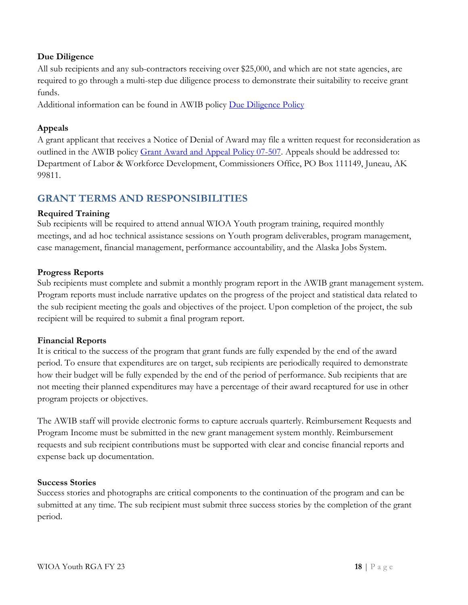#### <span id="page-17-0"></span>**Due Diligence**

All sub recipients and any sub-contractors receiving over \$25,000, and which are not state agencies, are required to go through a multi-step due diligence process to demonstrate their suitability to receive grant funds.

Additional information can be found in AWIB policy [Due Diligence Policy](https://labor.alaska.gov/dets/policies/07-527.pdf)

#### <span id="page-17-1"></span>**Appeals**

A grant applicant that receives a Notice of Denial of Award may file a written request for reconsideration as outlined in the AWIB policy [Grant Award and Appeal Policy 07-507. A](http://labor.alaska.gov/bp/forms/010_07-507.pdf)ppeals should be addressed to: Department of Labor & Workforce Development, Commissioners Office, PO Box 111149, Juneau, AK 99811.

## <span id="page-17-2"></span>**GRANT TERMS AND RESPONSIBILITIES**

#### <span id="page-17-3"></span>**Required Training**

Sub recipients will be required to attend annual WIOA Youth program training, required monthly meetings, and ad hoc technical assistance sessions on Youth program deliverables, program management, case management, financial management, performance accountability, and the Alaska Jobs System.

#### <span id="page-17-4"></span>**Progress Reports**

Sub recipients must complete and submit a monthly program report in the AWIB grant management system. Program reports must include narrative updates on the progress of the project and statistical data related to the sub recipient meeting the goals and objectives of the project. Upon completion of the project, the sub recipient will be required to submit a final program report.

#### <span id="page-17-5"></span>**Financial Reports**

It is critical to the success of the program that grant funds are fully expended by the end of the award period. To ensure that expenditures are on target, sub recipients are periodically required to demonstrate how their budget will be fully expended by the end of the period of performance. Sub recipients that are not meeting their planned expenditures may have a percentage of their award recaptured for use in other program projects or objectives.

The AWIB staff will provide electronic forms to capture accruals quarterly. Reimbursement Requests and Program Income must be submitted in the new grant management system monthly. Reimbursement requests and sub recipient contributions must be supported with clear and concise financial reports and expense back up documentation.

#### <span id="page-17-6"></span>**Success Stories**

Success stories and photographs are critical components to the continuation of the program and can be submitted at any time. The sub recipient must submit three success stories by the completion of the grant period.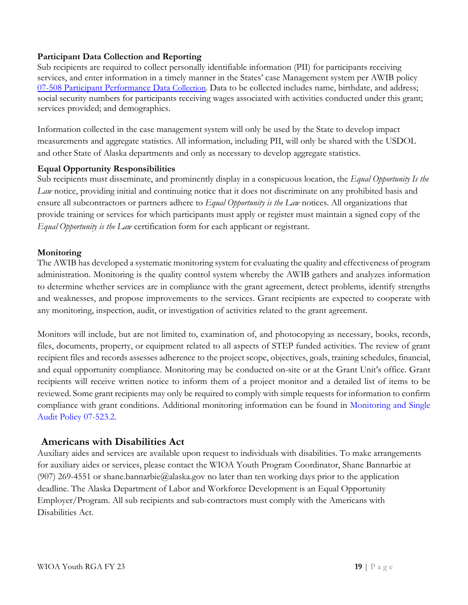#### <span id="page-18-0"></span>**Participant Data Collection and Reporting**

Sub recipients are required to collect personally identifiable information (PII) for participants receiving services, and enter information in a timely manner in the States' case Management system per AWIB policy [07-508 Participant Performance Data](http://labor.alaska.gov/bp/forms/016_07-508.pdf) [Collection.](http://labor.alaska.gov/bp/forms/016_07-508.pdf) Data to be collected includes name, birthdate, and address; social security numbers for participants receiving wages associated with activities conducted under this grant; services provided; and demographics.

Information collected in the case management system will only be used by the State to develop impact measurements and aggregate statistics. All information, including PII, will only be shared with the USDOL and other State of Alaska departments and only as necessary to develop aggregate statistics.

#### <span id="page-18-1"></span>**Equal Opportunity Responsibilities**

Sub recipients must disseminate, and prominently display in a conspicuous location, the *Equal Opportunity Is the Law* notice, providing initial and continuing notice that it does not discriminate on any prohibited basis and ensure all subcontractors or partners adhere to *Equal Opportunity is the Law* notices. All organizations that provide training or services for which participants must apply or register must maintain a signed copy of the *Equal Opportunity is the Law* certification form for each applicant or registrant.

#### <span id="page-18-2"></span>**Monitoring**

The AWIB has developed a systematic monitoring system for evaluating the quality and effectiveness of program administration. Monitoring is the quality control system whereby the AWIB gathers and analyzes information to determine whether services are in compliance with the grant agreement, detect problems, identify strengths and weaknesses, and propose improvements to the services. Grant recipients are expected to cooperate with any monitoring, inspection, audit, or investigation of activities related to the grant agreement.

Monitors will include, but are not limited to, examination of, and photocopying as necessary, books, records, files, documents, property, or equipment related to all aspects of STEP funded activities. The review of grant recipient files and records assesses adherence to the project scope, objectives, goals, training schedules, financial, and equal opportunity compliance. Monitoring may be conducted on-site or at the Grant Unit's office. Grant recipients will receive written notice to inform them of a project monitor and a detailed list of items to be reviewed. Some grant recipients may only be required to comply with simple requests for information to confirm compliance with grant conditions. Additional monitoring information can be found in [Monitoring and Single](https://labor.alaska.gov/dets/policies/07-523.pdf)  [Audit Policy 07-523.2.](https://labor.alaska.gov/dets/policies/07-523.pdf)

#### <span id="page-18-3"></span>**Americans with Disabilities Act**

Auxiliary aides and services are available upon request to individuals with disabilities. To make arrangements for auxiliary aides or services, please contact the WIOA Youth Program Coordinator, Shane Bannarbie at (907) 269-4551 or shane.bannarbie@alaska.gov no later than ten working days prior to the application deadline. The Alaska Department of Labor and Workforce Development is an Equal Opportunity Employer/Program. All sub recipients and sub-contractors must comply with the Americans with Disabilities Act.